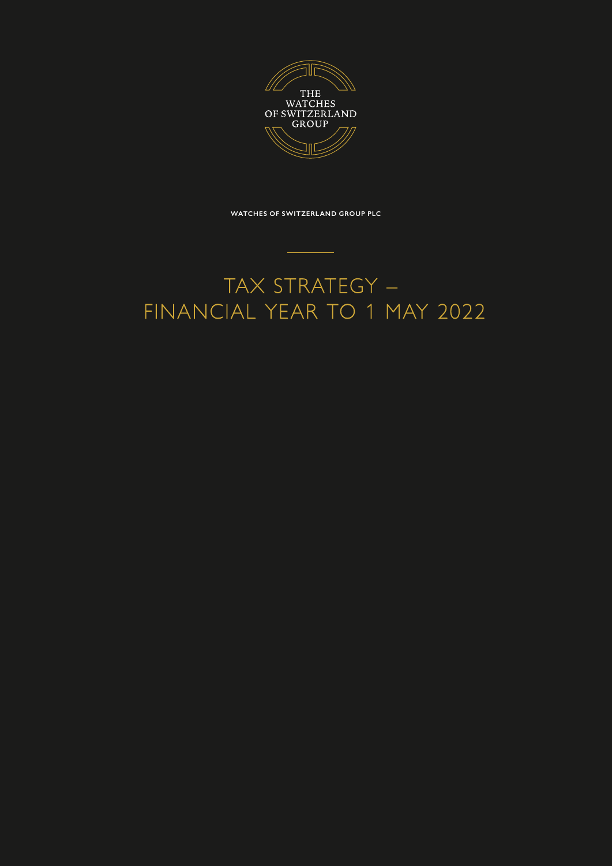

**WATCHES OF SWITZERLAND GROUP PLC**

# TAX STRATEGY – FINANCIAL YEAR TO 1 MAY 2022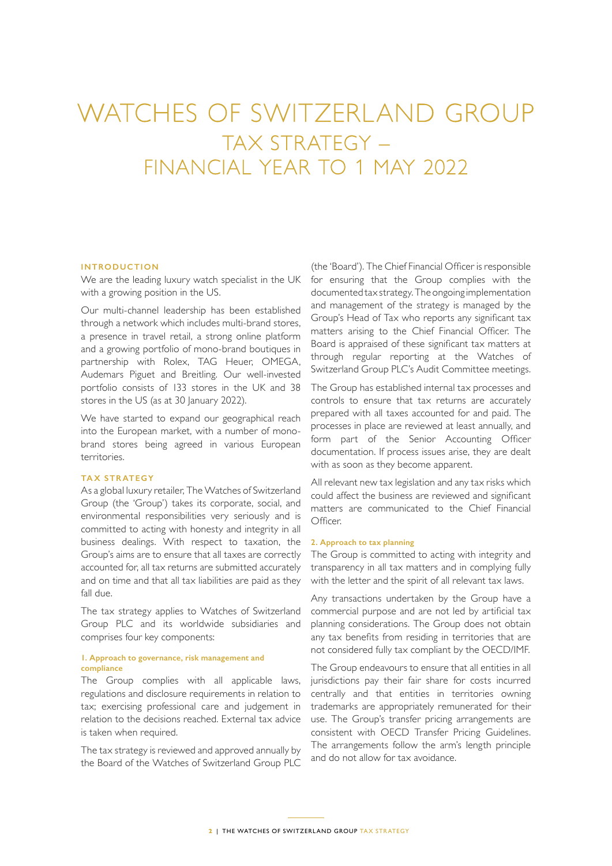# WATCHES OF SWITZERLAND GROUP TAX STRATEGY – FINANCIAL YEAR TO 1 MAY 2022

### **INTRODUCTION**

We are the leading luxury watch specialist in the UK with a growing position in the US.

Our multi-channel leadership has been established through a network which includes multi-brand stores, a presence in travel retail, a strong online platform and a growing portfolio of mono-brand boutiques in partnership with Rolex, TAG Heuer, OMEGA, Audemars Piguet and Breitling. Our well-invested portfolio consists of 133 stores in the UK and 38 stores in the US (as at 30 January 2022).

We have started to expand our geographical reach into the European market, with a number of monobrand stores being agreed in various European territories.

## **TAX STRATEGY**

As a global luxury retailer, The Watches of Switzerland Group (the 'Group') takes its corporate, social, and environmental responsibilities very seriously and is committed to acting with honesty and integrity in all business dealings. With respect to taxation, the Group's aims are to ensure that all taxes are correctly accounted for, all tax returns are submitted accurately and on time and that all tax liabilities are paid as they fall due.

The tax strategy applies to Watches of Switzerland Group PLC and its worldwide subsidiaries and comprises four key components:

#### **1. Approach to governance, risk management and compliance**

The Group complies with all applicable laws, regulations and disclosure requirements in relation to tax; exercising professional care and judgement in relation to the decisions reached. External tax advice is taken when required.

The tax strategy is reviewed and approved annually by the Board of the Watches of Switzerland Group PLC (the 'Board'). The Chief Financial Officer is responsible for ensuring that the Group complies with the documented tax strategy. The ongoing implementation and management of the strategy is managed by the Group's Head of Tax who reports any significant tax matters arising to the Chief Financial Officer. The Board is appraised of these significant tax matters at through regular reporting at the Watches of Switzerland Group PLC's Audit Committee meetings.

The Group has established internal tax processes and controls to ensure that tax returns are accurately prepared with all taxes accounted for and paid. The processes in place are reviewed at least annually, and form part of the Senior Accounting Officer documentation. If process issues arise, they are dealt with as soon as they become apparent.

All relevant new tax legislation and any tax risks which could affect the business are reviewed and significant matters are communicated to the Chief Financial Officer.

#### **2. Approach to tax planning**

The Group is committed to acting with integrity and transparency in all tax matters and in complying fully with the letter and the spirit of all relevant tax laws.

Any transactions undertaken by the Group have a commercial purpose and are not led by artificial tax planning considerations. The Group does not obtain any tax benefits from residing in territories that are not considered fully tax compliant by the OECD/IMF.

The Group endeavours to ensure that all entities in all jurisdictions pay their fair share for costs incurred centrally and that entities in territories owning trademarks are appropriately remunerated for their use. The Group's transfer pricing arrangements are consistent with OECD Transfer Pricing Guidelines. The arrangements follow the arm's length principle and do not allow for tax avoidance.